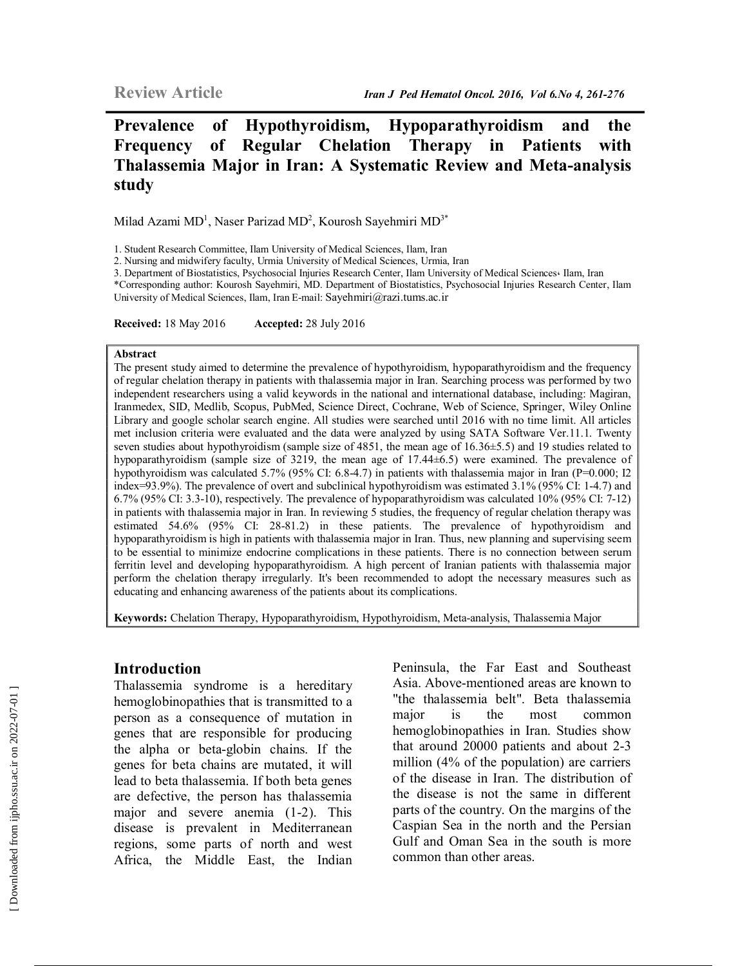Milad Azami  $MD<sup>1</sup>$ , Naser Parizad MD<sup>2</sup>, Kourosh Sayehmiri MD<sup>3\*</sup>

1. Student Research Committee, Ilam University of Medical Sciences, Ilam, Iran

2. Nursing and midwifery faculty, Urmia University of Medical Sciences, Urmia, Iran

3. Department of Biostatistics, Psychosocial Injuries Research Center, Ilam University of Medical Sciences، Ilam, Iran

\*Corresponding author: Kourosh Sayehmiri, MD. Department of Biostatistics, Psychosocial Injuries Research Center, Ilam University of Medical Sciences, Ilam, Iran E-mail: Sayehmiri@razi.tums.ac.ir

**Received:** 18 May 2016 **Accepted:** 28 July 2016

#### **Abstract**

The present study aimed to determine the prevalence of hypothyroidism, hypoparathyroidism and the frequency of regular chelation therapy in patients with thalassemia major in Iran. Searching process was performed by two independent researchers using a valid keywords in the national and international database, including: Magiran, Iranmedex, SID, Medlib, Scopus, PubMed, Science Direct, Cochrane, Web of Science, Springer, Wiley Online Library and google scholar search engine. All studies were searched until 2016 with no time limit. All articles met inclusion criteria were evaluated and the data were analyzed by using SATA Software Ver.11.1. Twenty seven studies about hypothyroidism (sample size of 4851, the mean age of 16.36±5.5) and 19 studies related to hypoparathyroidism (sample size of 3219, the mean age of 17.44 $\pm$ 6.5) were examined. The prevalence of hypothyroidism was calculated 5.7% (95% CI: 6.8-4.7) in patients with thalassemia major in Iran (P=0.000; I2 index=93.9%). The prevalence of overt and subclinical hypothyroidism was estimated 3.1% (95% CI: 1-4.7) and 6.7% (95% CI: 3.3-10), respectively. The prevalence of hypoparathyroidism was calculated 10% (95% CI: 7-12) in patients with thalassemia major in Iran. In reviewing 5 studies, the frequency of regular chelation therapy was estimated 54.6% (95% CI: 28-81.2) in these patients. The prevalence of hypothyroidism and hypoparathyroidism is high in patients with thalassemia major in Iran. Thus, new planning and supervising seem to be essential to minimize endocrine complications in these patients. There is no connection between serum ferritin level and developing hypoparathyroidism. A high percent of Iranian patients with thalassemia major perform the chelation therapy irregularly. It's been recommended to adopt the necessary measures such as educating and enhancing awareness of the patients about its complications.

**Keywords:** Chelation Therapy, Hypoparathyroidism, Hypothyroidism, Meta-analysis, Thalassemia Major

#### **Introduction**

Thalassemia syndrome is a hereditary hemoglobinopathies that is transmitted to a person as a consequence of mutation in genes that are responsible for producing the alpha or beta-globin chains. If the genes for beta chains are mutated, it will lead to beta thalassemia. If both beta genes are defective, the person has thalassemia major and severe anemia (1-2). This disease is prevalent in Mediterranean regions, some parts of north and west Africa, the Middle East, the Indian

Peninsula, the Far East and Southeast Asia. Above-mentioned areas are known to "the thalassemia belt". Beta thalassemia major is the most common hemoglobinopathies in Iran. Studies show that around 20000 patients and about 2-3 million (4% of the population) are carriers of the disease in Iran. The distribution of the disease is not the same in different parts of the country. On the margins of the Caspian Sea in the north and the Persian Gulf and Oman Sea in the south is more common than other areas.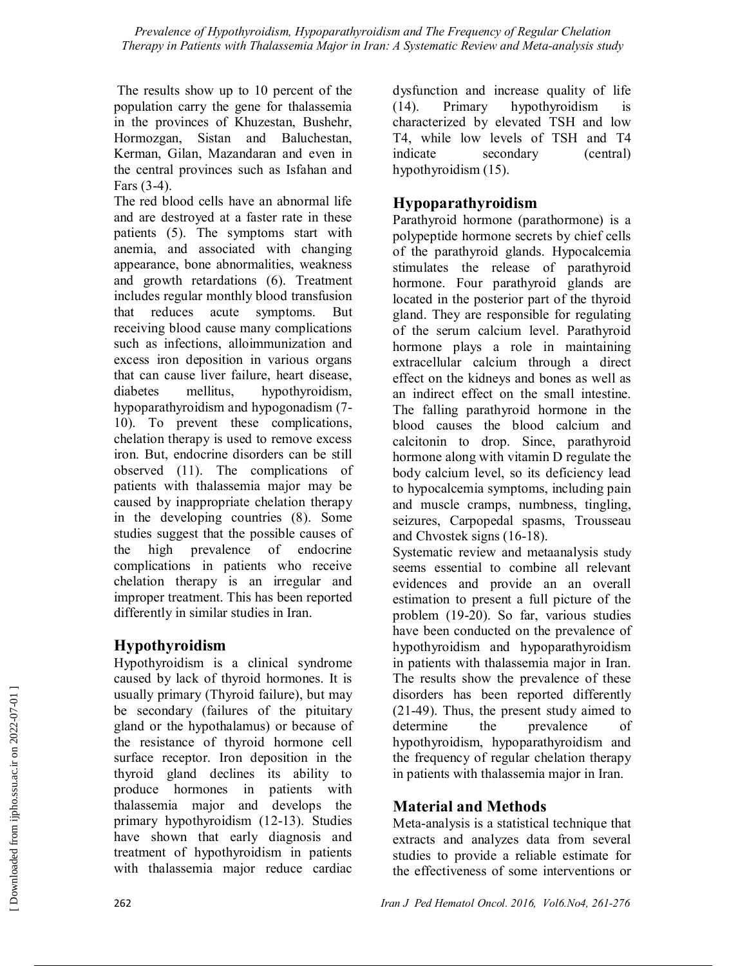The results show up to 10 percent of the population carry the gene for thalassemia in the provinces of Khuzestan, Bushehr, Hormozgan, Sistan and Baluchestan, Kerman, Gilan, Mazandaran and even in the central provinces such as Isfahan and Fars (3-4).

The red blood cells have an abnormal life and are destroyed at a faster rate in these patients (5). The symptoms start with anemia, and associated with changing appearance, bone abnormalities, weakness and growth retardations (6). Treatment includes regular monthly blood transfusion that reduces acute symptoms. But receiving blood cause many complications such as infections, alloimmunization and excess iron deposition in various organs that can cause liver failure, heart disease, diabetes mellitus, hypothyroidism, hypoparathyroidism and hypogonadism (7- 10). To prevent these complications, chelation therapy is used to remove excess iron. But, endocrine disorders can be still observed (11). The complications of patients with thalassemia major may be caused by inappropriate chelation therapy in the developing countries (8). Some studies suggest that the possible causes of the high prevalence of endocrine complications in patients who receive chelation therapy is an irregular and improper treatment. This has been reported differently in similar studies in Iran.

### **Hypothyroidism**

Hypothyroidism is a clinical syndrome caused by lack of thyroid hormones. It is usually primary (Thyroid failure), but may be secondary (failures of the pituitary gland or the hypothalamus) or because of the resistance of thyroid hormone cell surface receptor. Iron deposition in the thyroid gland declines its ability to produce hormones in patients with thalassemia major and develops the primary hypothyroidism (12-13). Studies have shown that early diagnosis and treatment of hypothyroidism in patients with thalassemia major reduce cardiac

dysfunction and increase quality of life (14). Primary hypothyroidism is characterized by elevated TSH and low T4, while low levels of TSH and T4 indicate secondary (central) hypothyroidism (15).

# **Hypoparathyroidism**

Parathyroid hormone (parathormone) is a polypeptide hormone secrets by chief cells of the parathyroid glands. Hypocalcemia stimulates the release of parathyroid hormone. Four parathyroid glands are located in the posterior part of the thyroid gland. They are responsible for regulating of the serum calcium level. Parathyroid hormone plays a role in maintaining extracellular calcium through a direct effect on the kidneys and bones as well as an indirect effect on the small intestine. The falling parathyroid hormone in the blood causes the blood calcium and calcitonin to drop. Since, parathyroid hormone along with vitamin D regulate the body calcium level, so its deficiency lead to hypocalcemia symptoms, including pain and muscle cramps, numbness, tingling, seizures, Carpopedal spasms, Trousseau and Chvostek signs (16-18).

Systematic review and metaanalysis study seems essential to combine all relevant evidences and provide an an overall estimation to present a full picture of the problem (19-20). So far, various studies have been conducted on the prevalence of hypothyroidism and hypoparathyroidism in patients with thalassemia major in Iran. The results show the prevalence of these disorders has been reported differently (21-49). Thus, the present study aimed to determine the prevalence of hypothyroidism, hypoparathyroidism and the frequency of regular chelation therapy in patients with thalassemia major in Iran.

# **Material and Methods**

Meta-analysis is a statistical technique that extracts and analyzes data from several studies to provide a reliable estimate for the effectiveness of some interventions or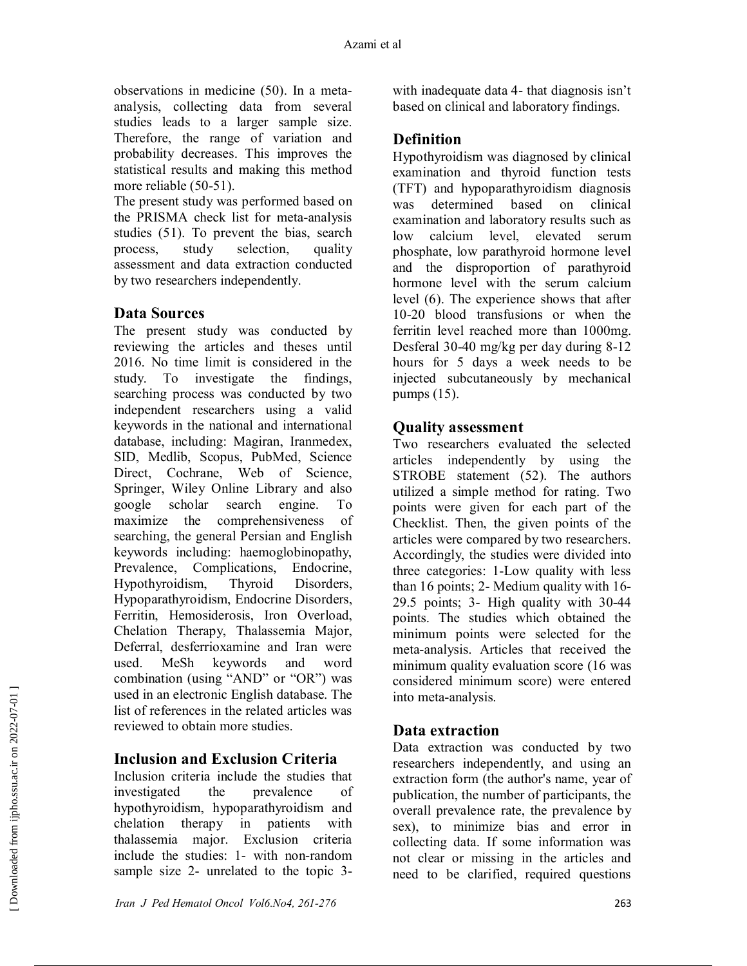observations in medicine (50). In a metaanalysis, collecting data from several studies leads to a larger sample size. Therefore, the range of variation and probability decreases. This improves the statistical results and making this method more reliable (50-51).

The present study was performed based on the PRISMA check list for meta-analysis studies (51). To prevent the bias, search process, study selection, quality assessment and data extraction conducted by two researchers independently.

### **Data Sources**

The present study was conducted by reviewing the articles and theses until 2016. No time limit is considered in the study. To investigate the findings, searching process was conducted by two independent researchers using a valid keywords in the national and international database, including: Magiran, Iranmedex, SID, Medlib, Scopus, PubMed, Science Direct, Cochrane, Web of Science, Springer, Wiley Online Library and also google scholar search engine. To maximize the comprehensiveness of searching, the general Persian and English keywords including: haemoglobinopathy, Prevalence, Complications, Endocrine, Hypothyroidism, Thyroid Disorders, Hypoparathyroidism, Endocrine Disorders, Ferritin, Hemosiderosis, Iron Overload, Chelation Therapy, Thalassemia Major, Deferral, desferrioxamine and Iran were used. MeSh keywords and word combination (using "AND" or "OR") was used in an electronic English database. The list of references in the related articles was reviewed to obtain more studies.

### **Inclusion and Exclusion Criteria**

Inclusion criteria include the studies that investigated the prevalence of hypothyroidism, hypoparathyroidism and chelation therapy in patients with thalassemia major. Exclusion criteria include the studies: 1- with non-random sample size 2- unrelated to the topic 3-

with inadequate data 4- that diagnosis isn't based on clinical and laboratory findings.

## **Definition**

Hypothyroidism was diagnosed by clinical examination and thyroid function tests (TFT) and hypoparathyroidism diagnosis was determined based on clinical examination and laboratory results such as low calcium level, elevated serum phosphate, low parathyroid hormone level and the disproportion of parathyroid hormone level with the serum calcium level (6). The experience shows that after 10-20 blood transfusions or when the ferritin level reached more than 1000mg. Desferal 30-40 mg/kg per day during 8-12 hours for 5 days a week needs to be injected subcutaneously by mechanical pumps (15).

### **Quality assessment**

Two researchers evaluated the selected articles independently by using the STROBE statement (52). The authors utilized a simple method for rating. Two points were given for each part of the Checklist. Then, the given points of the articles were compared by two researchers. Accordingly, the studies were divided into three categories: 1-Low quality with less than 16 points; 2- Medium quality with 16- 29.5 points; 3- High quality with 30-44 points. The studies which obtained the minimum points were selected for the meta-analysis. Articles that received the minimum quality evaluation score (16 was considered minimum score) were entered into meta-analysis.

### **Data extraction**

Data extraction was conducted by two researchers independently, and using an extraction form (the author's name, year of publication, the number of participants, the overall prevalence rate, the prevalence by sex), to minimize bias and error in collecting data. If some information was not clear or missing in the articles and need to be clarified, required questions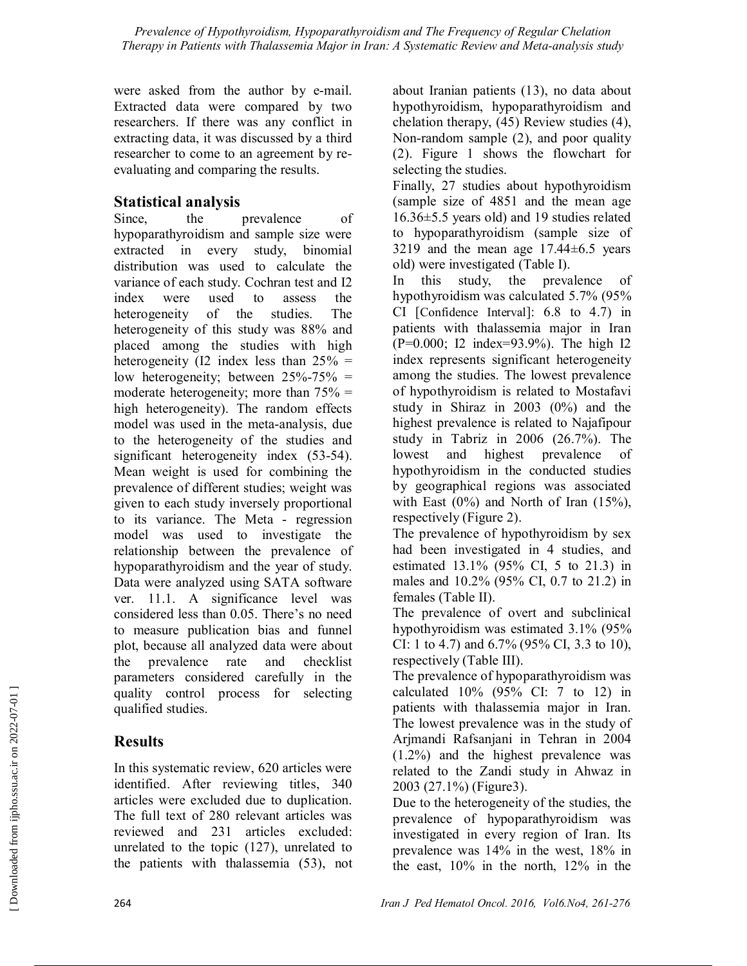were asked from the author by e-mail. Extracted data were compared by two researchers. If there was any conflict in extracting data, it was discussed by a third researcher to come to an agreement by reevaluating and comparing the results.

## **Statistical analysis**

Since, the prevalence of hypoparathyroidism and sample size were extracted in every study, binomial distribution was used to calculate the variance of each study. Cochran test and I2 index were used to assess the heterogeneity of the studies. The heterogeneity of this study was 88% and placed among the studies with high heterogeneity (I2 index less than  $25\%$  = low heterogeneity; between  $25\% - 75\% =$ moderate heterogeneity; more than  $75\%$  = high heterogeneity). The random effects model was used in the meta-analysis, due to the heterogeneity of the studies and significant heterogeneity index (53-54). Mean weight is used for combining the prevalence of different studies; weight was given to each study inversely proportional to its variance. The Meta - regression model was used to investigate the relationship between the prevalence of hypoparathyroidism and the year of study. Data were analyzed using SATA software ver. 11.1. A significance level was considered less than 0.05. There's no need to measure publication bias and funnel plot, because all analyzed data were about the prevalence rate and checklist parameters considered carefully in the quality control process for selecting qualified studies.

# **Results**

In this systematic review, 620 articles were identified. After reviewing titles, 340 articles were excluded due to duplication. The full text of 280 relevant articles was reviewed and 231 articles excluded: unrelated to the topic (127), unrelated to the patients with thalassemia (53), not

about Iranian patients (13), no data about hypothyroidism, hypoparathyroidism and chelation therapy, (45) Review studies (4), Non-random sample (2), and poor quality (2). Figure 1 shows the flowchart for selecting the studies.

Finally, 27 studies about hypothyroidism (sample size of 4851 and the mean age 16.36±5.5 years old) and 19 studies related to hypoparathyroidism (sample size of 3219 and the mean age  $17.44\pm6.5$  years old) were investigated (Table I).

In this study, the prevalence of hypothyroidism was calculated 5.7% (95% CI [Confidence Interval]: 6.8 to 4.7) in patients with thalassemia major in Iran (P=0.000; I2 index=93.9%). The high I2 index represents significant heterogeneity among the studies. The lowest prevalence of hypothyroidism is related to Mostafavi study in Shiraz in 2003 (0%) and the highest prevalence is related to Najafipour study in Tabriz in 2006 (26.7%). The lowest and highest prevalence of hypothyroidism in the conducted studies by geographical regions was associated with East  $(0\%)$  and North of Iran  $(15\%)$ , respectively (Figure 2).

The prevalence of hypothyroidism by sex had been investigated in 4 studies, and estimated 13.1% (95% CI, 5 to 21.3) in males and 10.2% (95% CI, 0.7 to 21.2) in females (Table II).

The prevalence of overt and subclinical hypothyroidism was estimated 3.1% (95% CI: 1 to 4.7) and 6.7% (95% CI, 3.3 to 10), respectively (Table III).

The prevalence of hypoparathyroidism was calculated  $10\%$  (95% CI: 7 to 12) in patients with thalassemia major in Iran. The lowest prevalence was in the study of Arjmandi Rafsanjani in Tehran in 2004 (1.2%) and the highest prevalence was related to the Zandi study in Ahwaz in 2003 (27.1%) (Figure3).

Due to the heterogeneity of the studies, the prevalence of hypoparathyroidism was investigated in every region of Iran. Its prevalence was 14% in the west, 18% in the east, 10% in the north, 12% in the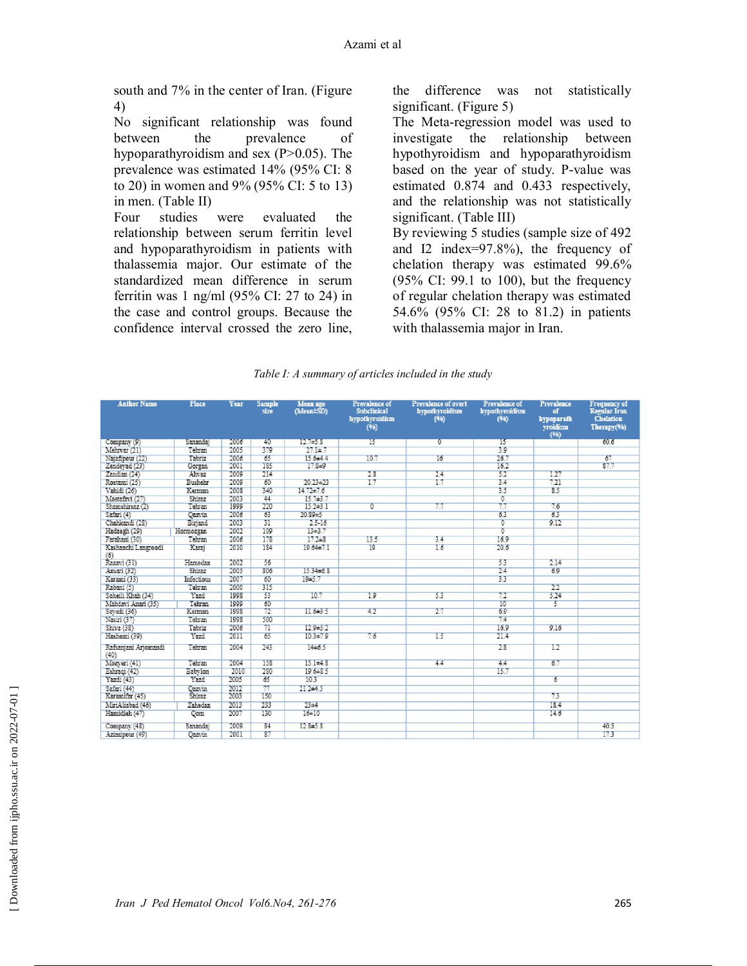south and 7% in the center of Iran. (Figure 4)

No significant relationship was found between the prevalence of hypoparathyroidism and sex (P>0.05). The prevalence was estimated 14% (95% CI: 8 to 20) in women and 9% (95% CI: 5 to 13) in men. (Table II)

Four studies were evaluated the relationship between serum ferritin level and hypoparathyroidism in patients with thalassemia major. Our estimate of the standardized mean difference in serum ferritin was 1 ng/ml (95% CI: 27 to 24) in the case and control groups. Because the confidence interval crossed the zero line, the difference was not statistically significant. (Figure 5)

The Meta-regression model was used to investigate the relationship between hypothyroidism and hypoparathyroidism based on the year of study. P-value was estimated 0.874 and 0.433 respectively, and the relationship was not statistically significant. (Table III) By reviewing 5 studies (sample size of 492 and I2 index=97.8%), the frequency of chelation therapy was estimated 99.6% (95% CI: 99.1 to 100), but the frequency of regular chelation therapy was estimated 54.6% (95% CI: 28 to 81.2) in patients with thalassemia major in Iran.

|  | Table I: A summary of articles included in the study |  |
|--|------------------------------------------------------|--|
|  |                                                      |  |

| <b>Author Name</b>           | Place          | Year | <b>Sample</b><br>size.    | Mean age<br>(Mean±SD) | Prevalence of<br><b>Subclinical</b><br>hypothyroidism<br>(96) | Prevalence of overt<br>hypothyroidism<br>(99) | <b>Prevalence of</b><br>hypothyroidism<br>(96) | <b>Prevalence</b><br>of<br>hypoparath<br>vroidism<br>(96) | Frequency of<br><b>Regular Iron</b><br>Chelation<br>Therapy(%) |
|------------------------------|----------------|------|---------------------------|-----------------------|---------------------------------------------------------------|-----------------------------------------------|------------------------------------------------|-----------------------------------------------------------|----------------------------------------------------------------|
| Company (9)                  | Sanandai       | 2006 | 40                        | 127/4578              | 15                                                            | ū.                                            | ъ                                              |                                                           | 60.6                                                           |
| Mehrvar (21)                 | Tehran         | 2005 | 379                       | $27.1 + 7$            |                                                               |                                               | 39                                             |                                                           |                                                                |
| Najafipour (22)              | Tabriz         | 2006 | $\overline{65}$           | $15.6 + 4.4$          | 10.7                                                          | 16                                            | 26.7                                           |                                                           | 67                                                             |
| Zendevad (23)                | Gorgan         | 2001 | 185                       | $17.8 + 9$            |                                                               |                                               | 16.7                                           |                                                           | 87.7                                                           |
| Zandian (24)                 | Alivaz         | 2009 | 214                       |                       | 2.8                                                           | 24                                            | 52                                             | 1.27                                                      |                                                                |
| Rostani (25)                 | <b>Bushehr</b> | 2009 | 60                        | 20.23±23              | 17                                                            | 17                                            | 34                                             | 7.21                                                      |                                                                |
| Vahidi (26)                  | Keman          | 2008 | 340                       | $14.72 + 7.6$         |                                                               |                                               | 35                                             | 8.5                                                       |                                                                |
| Mostafavi (27)               | Shiraz         | 2003 | 44                        | 15.743.7              |                                                               |                                               | 0                                              |                                                           |                                                                |
| Shamshirsaz (2)              | Tehran         | 1999 | 220                       | $15.2 \pm 3.1$        | σ                                                             | 77                                            | 77                                             | 7.6                                                       |                                                                |
| Safari (4)                   | <b>Oazvin</b>  | 2006 | 63                        | $20.89 + 5$           |                                                               |                                               | 63                                             | 63                                                        |                                                                |
| Chahkandi (28)               | Birjand        | 2003 | $\overline{31}$           | $2.5 - 16$            |                                                               |                                               | $\overline{0}$                                 | 9.12                                                      |                                                                |
| Hadaesh (29)                 | Hormozgan      | 2002 | 109                       | $13 + 3.7$            |                                                               |                                               | ō                                              |                                                           |                                                                |
| Farahani (30)                | Tehran         | 2006 | 178                       | 17.2+8                | 13.5                                                          | 3.4                                           | 16.9                                           |                                                           |                                                                |
| Kashanchi Langroodi<br>(6)   | Karaj          | 2010 | 184                       | $19.64 + 7.1$         | 19                                                            | 16                                            | 20.6                                           |                                                           |                                                                |
| Razavi (31)                  | Hamedan        | 2002 | 56                        |                       |                                                               |                                               | 53                                             | 2.14                                                      |                                                                |
| Ansari (32)                  | <b>Shiraz</b>  | 2005 | 806                       | 15.34±6.8             |                                                               |                                               | 24                                             | 6.9                                                       |                                                                |
| Karami (33)                  | Infectious     | 2007 | 60                        | 1945.7                |                                                               |                                               | 33                                             |                                                           |                                                                |
| Rabani (5)                   | Tehran         | 2000 | 315                       |                       |                                                               |                                               |                                                | 22                                                        |                                                                |
| Soheili Khah (34)            | Yazd           | 1998 | 53                        | 10.7                  | 10                                                            | 53                                            | 72                                             | 5.24                                                      |                                                                |
| Mahdavi Anari (35)           | Tehran         | 1999 | 60                        |                       |                                                               |                                               | 10                                             | 5                                                         |                                                                |
| Sevedi (36)                  | Kerman         | 1998 | 72                        | 11.643.5              | 42                                                            | 27                                            | 69                                             |                                                           |                                                                |
| Nasiri (37)                  | Tehran         | 1998 | 500                       |                       |                                                               |                                               | 74                                             |                                                           |                                                                |
| Shiva (38)                   | Tabriz         | 2006 | $\overline{\pi}$          | 12.9±5.2              |                                                               |                                               | 16.9                                           | 916                                                       |                                                                |
| Hashemi (39)                 | Yazd           | 2011 | 65                        | $10.3 + 7.9$          | 7.6                                                           | 15                                            | 21.4                                           |                                                           |                                                                |
| Rafsanjani Arjomandi<br>(40) | Tehran         | 2004 | 243                       | 14±6.5                |                                                               |                                               | 28                                             | 12                                                        |                                                                |
| Moaveri (41)                 | Tehran         | 2004 | 158                       | $15.1 + 4.8$          |                                                               | 44                                            | 44                                             | 6.7                                                       |                                                                |
| Eshragi (42)                 | Babylon        | 2010 | 280                       | $19.6 + 8.5$          |                                                               |                                               | 15.7                                           |                                                           |                                                                |
| Yazdi (43)                   | Yazd           | 2005 | 65                        | 10.3                  |                                                               |                                               |                                                | 6                                                         |                                                                |
| Safari (44)                  | Qazvin         | 2012 | 77                        | $21.2 + 4.5$          |                                                               |                                               |                                                |                                                           |                                                                |
| Karamitar (45)               | Shiraz         | 2003 | 150                       |                       |                                                               |                                               |                                                | 73                                                        |                                                                |
| MiriAliabad (46)             | Zahedan        | 2013 | 233                       | $23 + 4$              |                                                               |                                               |                                                | 18.4                                                      |                                                                |
| Hamidieh (47)                | <b>Oom</b>     | 2007 | 130                       | $16 + 10$             |                                                               |                                               |                                                | 14.6                                                      |                                                                |
| Company (48)                 | Sanandai       | 2009 | R <sub>4</sub>            | 12.845.8              |                                                               |                                               |                                                |                                                           | 40.5                                                           |
| Azimirour (49)               | <b>Oazvin</b>  | 2001 | $\overline{\mathbf{R}^T}$ |                       |                                                               |                                               |                                                |                                                           | 173                                                            |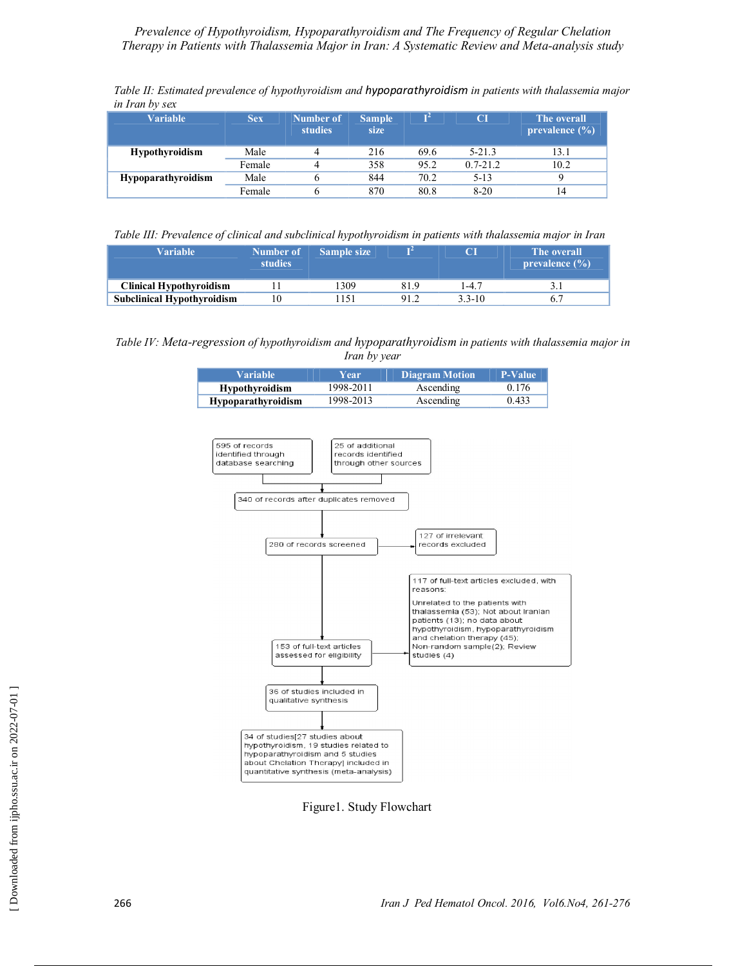| Table II: Estimated prevalence of hypothyroidism and hypoparathyroidism in patients with thalassemia major |  |
|------------------------------------------------------------------------------------------------------------|--|
| in Iran by sex                                                                                             |  |

| <b>Variable</b>           | <b>Sex</b> | Number of<br><b>studies</b> | <b>Sample</b><br>size | $\mathbf{I}^2$ | CI           | The overall<br>prevalence $(\% )$ |
|---------------------------|------------|-----------------------------|-----------------------|----------------|--------------|-----------------------------------|
| <b>Hypothyroidism</b>     | Male       |                             | 216                   | 69.6           | $5-21.3$     | 13.1                              |
|                           | Female     |                             | 358                   | 95.2           | $0.7 - 21.2$ | 10.2                              |
| <b>Hypoparathyroidism</b> | Male       |                             | 844                   | 70.2           | $5-13$       | Q                                 |
|                           | Female     |                             | 870                   | 80.8           | $8-20$       | 14                                |

*Table III: Prevalence of clinical and subclinical hypothyroidism in patients with thalassemia major in Iran*

| <b>Variable</b>                   | Number of<br><b>studies</b> | <b>Sample size</b> |      |        | The overall<br>prevalence $(\% )$ |
|-----------------------------------|-----------------------------|--------------------|------|--------|-----------------------------------|
| <b>Clinical Hypothyroidism</b>    |                             | 309                | 81.9 | 1-4.7  |                                   |
| <b>Subclinical Hypothyroidism</b> |                             | 151                | 91.2 | 3 3-10 |                                   |

*Table IV: Meta-regression of hypothyroidism and hypoparathyroidism in patients with thalassemia major in Iran by year*

| Variable <b>'</b>         | Year      | <b>Diagram Motion</b> | <b>P-Value</b> |
|---------------------------|-----------|-----------------------|----------------|
| <b>Hypothyroidism</b>     | 1998-2011 | Ascending             | 0.176          |
| <b>Hypoparathyroidism</b> | 1998-2013 | Ascending             | 0.433          |



Figure1. Study Flowchart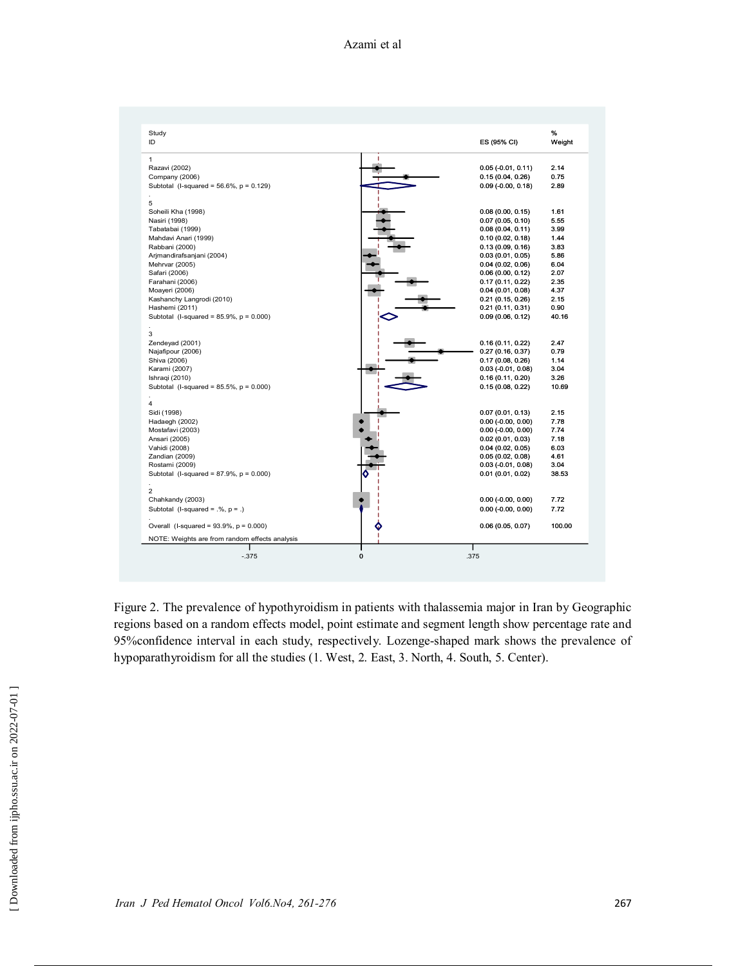| Study                                          |                      | %      |
|------------------------------------------------|----------------------|--------|
| ID                                             | ES (95% CI)          | Weight |
| $\mathbf{1}$                                   |                      |        |
| Razavi (2002)                                  | $0.05$ (-0.01, 0.11) | 2.14   |
| Company (2006)                                 | 0.15(0.04, 0.26)     | 0.75   |
| Subtotal (I-squared = $56.6\%$ , $p = 0.129$ ) | $0.09$ (-0.00, 0.18) | 2.89   |
| 5                                              |                      |        |
| Soheili Kha (1998)                             | 0.08(0.00, 0.15)     | 1.61   |
| Nasiri (1998)                                  | 0.07(0.05, 0.10)     | 5.55   |
| Tabatabai (1999)                               | 0.08(0.04, 0.11)     | 3.99   |
| Mahdavi Anari (1999)                           | 0.10(0.02, 0.18)     | 1.44   |
| Rabbani (2000)                                 | 0.13(0.09, 0.16)     | 3.83   |
| Arjmandirafsanjani (2004)                      | 0.03(0.01, 0.05)     | 5.86   |
| Mehrvar (2005)                                 | 0.04(0.02, 0.06)     | 6.04   |
| Safari (2006)                                  | 0.06(0.00, 0.12)     | 2.07   |
| Farahani (2006)                                | 0.17(0.11, 0.22)     | 2.35   |
| Moayeri (2006)                                 | 0.04(0.01, 0.08)     | 4.37   |
| Kashanchy Langrodi (2010)                      | 0.21(0.15, 0.26)     | 2.15   |
| Hashemi (2011)                                 | 0.21(0.11, 0.31)     | 0.90   |
| Subtotal (I-squared = $85.9\%$ , $p = 0.000$ ) | 0.09(0.06, 0.12)     | 40.16  |
| 3                                              |                      |        |
| Zendeyad (2001)                                | 0.16(0.11, 0.22)     | 2.47   |
| Najafipour (2006)                              | 0.27(0.16, 0.37)     | 0.79   |
| Shiva (2006)                                   | 0.17(0.08, 0.26)     | 1.14   |
| Karami (2007)                                  | $0.03$ (-0.01, 0.08) | 3.04   |
| Ishraqi (2010)                                 | 0.16(0.11, 0.20)     | 3.26   |
| Subtotal (I-squared = $85.5\%$ , $p = 0.000$ ) | 0.15(0.08, 0.22)     | 10.69  |
| 4                                              |                      |        |
| Sidi (1998)                                    | 0.07(0.01, 0.13)     | 2.15   |
| Hadaegh (2002)                                 | $0.00$ (-0.00, 0.00) | 7.78   |
| Mostafavi (2003)                               | $0.00$ (-0.00, 0.00) | 7.74   |
| Ansari (2005)                                  | 0.02(0.01, 0.03)     | 7.18   |
| Vahidi (2008)                                  | 0.04(0.02, 0.05)     | 6.03   |
| Zandian (2009)                                 | 0.05(0.02, 0.08)     | 4.61   |
| Rostami (2009)                                 | $0.03$ (-0.01, 0.08) | 3.04   |
| Subtotal (I-squared = $87.9\%$ , $p = 0.000$ ) | 0.01(0.01, 0.02)     | 38.53  |
| 2                                              |                      |        |
| Chahkandy (2003)                               | $0.00$ (-0.00, 0.00) | 7.72   |
| Subtotal (I-squared = $.%$ , $p = .$ )         | $0.00$ (-0.00, 0.00) | 7.72   |
| Overall (I-squared = $93.9\%$ , $p = 0.000$ )  | 0.06(0.05, 0.07)     | 100.00 |
| NOTE: Weights are from random effects analysis |                      |        |
| $-.375$<br>$\mathbf 0$                         | .375                 |        |

Figure 2. The prevalence of hypothyroidism in patients with thalassemia major in Iran by Geographic regions based on a random effects model, point estimate and segment length show percentage rate and 95%confidence interval in each study, respectively. Lozenge-shaped mark shows the prevalence of hypoparathyroidism for all the studies (1. West, 2. East, 3. North, 4. South, 5. Center).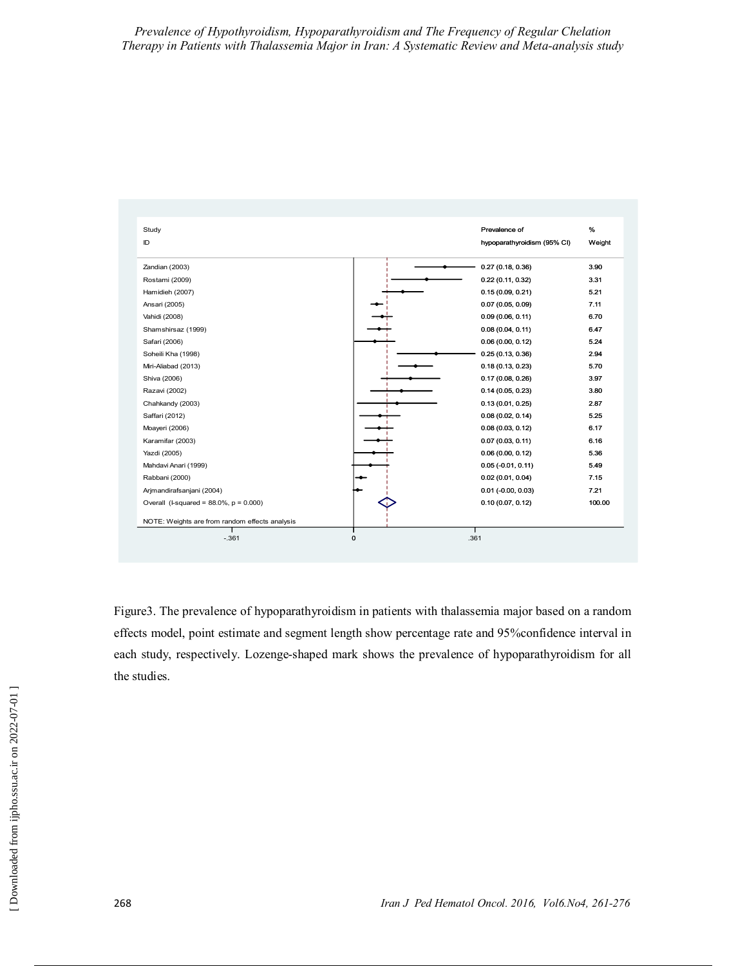| Study                                          | Prevalence of               | %      |
|------------------------------------------------|-----------------------------|--------|
| ID                                             | hypoparathyroidism (95% CI) | Weight |
| Zandian (2003)                                 | 0.27(0.18, 0.36)            | 3.90   |
| Rostami (2009)                                 | 0.22(0.11, 0.32)            | 3.31   |
| Hamidieh (2007)                                | 0.15(0.09, 0.21)            | 5.21   |
| Ansari (2005)                                  | 0.07(0.05, 0.09)            | 7.11   |
| Vahidi (2008)                                  | 0.09(0.06, 0.11)            | 6.70   |
| Shamshirsaz (1999)                             | 0.08(0.04, 0.11)            | 6.47   |
| Safari (2006)                                  | 0.06(0.00, 0.12)            | 5.24   |
| Soheili Kha (1998)                             | 0.25(0.13, 0.36)            | 2.94   |
| Miri-Aliabad (2013)                            | 0.18(0.13, 0.23)            | 5.70   |
| Shiva (2006)                                   | 0.17(0.08, 0.26)            | 3.97   |
| Razavi (2002)                                  | 0.14(0.05, 0.23)            | 3.80   |
| Chahkandy (2003)                               | 0.13(0.01, 0.25)            | 2.87   |
| Saffari (2012)                                 | 0.08(0.02, 0.14)            | 5.25   |
| Moayeri (2006)                                 | 0.08(0.03, 0.12)            | 6.17   |
| Karamifar (2003)                               | 0.07(0.03, 0.11)            | 6.16   |
| Yazdi (2005)                                   | 0.06(0.00, 0.12)            | 5.36   |
| Mahdavi Anari (1999)                           | $0.05(-0.01, 0.11)$         | 5.49   |
| Rabbani (2000)                                 | 0.02(0.01, 0.04)            | 7.15   |
| Arjmandirafsanjani (2004)                      | $0.01$ (-0.00, 0.03)        | 7.21   |
| Overall (I-squared = $88.0\%$ , $p = 0.000$ )  | 0.10(0.07, 0.12)            | 100.00 |
| NOTE: Weights are from random effects analysis |                             |        |
| $\mathbf 0$<br>$-.361$                         | .361                        |        |

Figure3. The prevalence of hypoparathyroidism in patients with thalassemia major based on a random effects model, point estimate and segment length show percentage rate and 95%confidence interval in each study, respectively. Lozenge-shaped mark shows the prevalence of hypoparathyroidism for all the studies.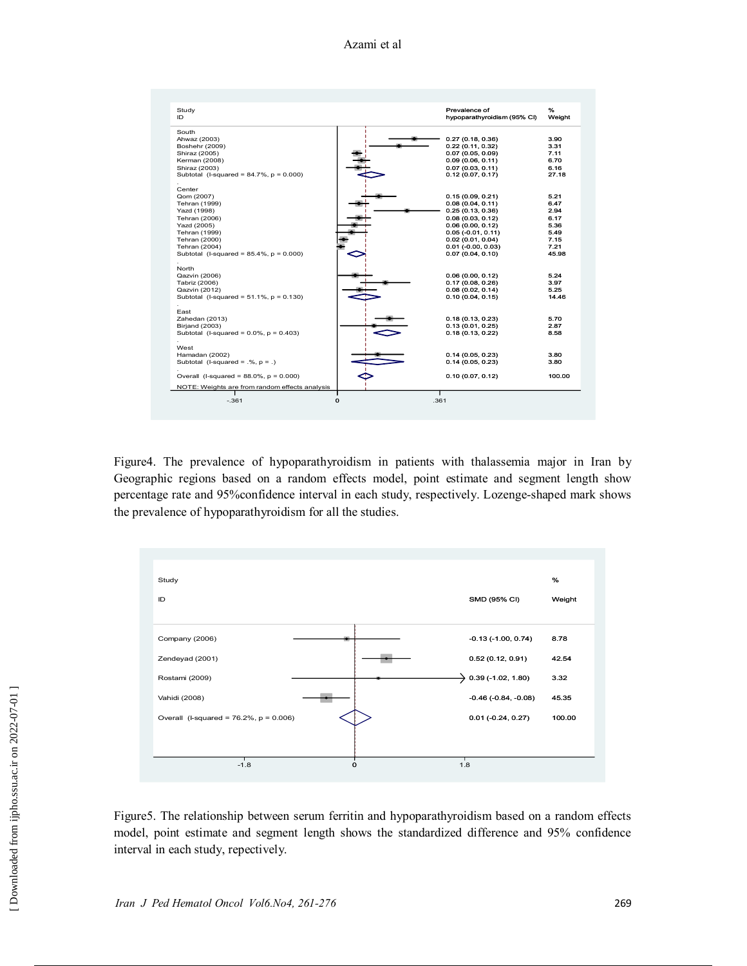| Study<br>ID                                                     | Prevalence of<br>hypoparathyroidism (95% CI) | ℅<br>Weight |
|-----------------------------------------------------------------|----------------------------------------------|-------------|
| South                                                           |                                              |             |
| Ahwaz (2003)                                                    | 0.27(0.18, 0.36)                             | 3.90        |
| Boshehr (2009)                                                  | 0.22(0.11, 0.32)                             | 3.31        |
| Shiraz (2005)                                                   | 0.07(0.05, 0.09)                             | 7.11        |
| Kerman (2008)                                                   | 0.09(0.06, 0.11)                             | 6.70        |
| Shiraz (2003)                                                   | 0.07(0.03, 0.11)                             | 6.16        |
| Subtotal (I-squared = $84.7\%$ , $p = 0.000$ )                  | 0.12(0.07, 0.17)                             | 27.18       |
| Center<br>Qom (2007)                                            | 0.15(0.09, 0.21)                             | 5.21        |
| Tehran (1999)                                                   | 0.08(0.04, 0.11)                             | 6.47        |
| Yazd (1998)                                                     | 0.25(0.13, 0.36)                             | 2.94        |
| Tehran (2006)                                                   | 0.08(0.03, 0.12)                             | 6.17        |
| Yazd (2005)                                                     | 0.06(0.00, 0.12)                             | 5.36        |
| Tehran (1999)                                                   | $0.05(-0.01, 0.11)$                          | 5.49        |
| Tehran (2000)                                                   | 0.02(0.01, 0.04)                             | 7.15        |
|                                                                 |                                              | 7.21        |
| Tehran (2004)<br>Subtotal (I-squared = $85.4\%$ , $p = 0.000$ ) | $0.01$ (-0.00, 0.03)<br>0.07(0.04, 0.10)     | 45.98       |
|                                                                 |                                              |             |
| North<br>Qazvin (2006)                                          | 0.06(0.00, 0.12)                             | 5.24        |
| Tabriz (2006)                                                   | 0.17(0.08, 0.26)                             | 3.97        |
| Qazvin (2012)                                                   | 0.08(0.02, 0.14)                             | 5.25        |
| Subtotal (I-squared = $51.1\%$ , $p = 0.130$ )                  | 0.10(0.04, 0.15)                             | 14.46       |
| East                                                            |                                              |             |
| Zahedan (2013)                                                  | 0.18(0.13, 0.23)                             | 5.70        |
| <b>Birjand (2003)</b>                                           | 0.13(0.01, 0.25)                             | 2.87        |
| Subtotal (I-squared = $0.0\%$ , $p = 0.403$ )                   | 0.18(0.13, 0.22)                             | 8.58        |
| West                                                            |                                              | 3.80        |
| Hamadan (2002)                                                  | 0.14(0.05, 0.23)<br>0.14(0.05, 0.23)         | 3.80        |
| Subtotal (I-squared = $\mathcal{N}$ , $p = \mathcal{N}$ )       |                                              |             |
| Overall (I-squared = $88.0\%$ , $p = 0.000$ )                   | 0.10(0.07, 0.12)                             | 100.00      |
| NOTE: Weights are from random effects analysis                  |                                              |             |
| $-.361$                                                         | $\mathbf{o}$<br>.361                         |             |

Figure4. The prevalence of hypoparathyroidism in patients with thalassemia major in Iran by Geographic regions based on a random effects model, point estimate and segment length show percentage rate and 95%confidence interval in each study, respectively. Lozenge-shaped mark shows the prevalence of hypoparathyroidism for all the studies.



Figure5. The relationship between serum ferritin and hypoparathyroidism based on a random effects model, point estimate and segment length shows the standardized difference and 95% confidence interval in each study, repectively.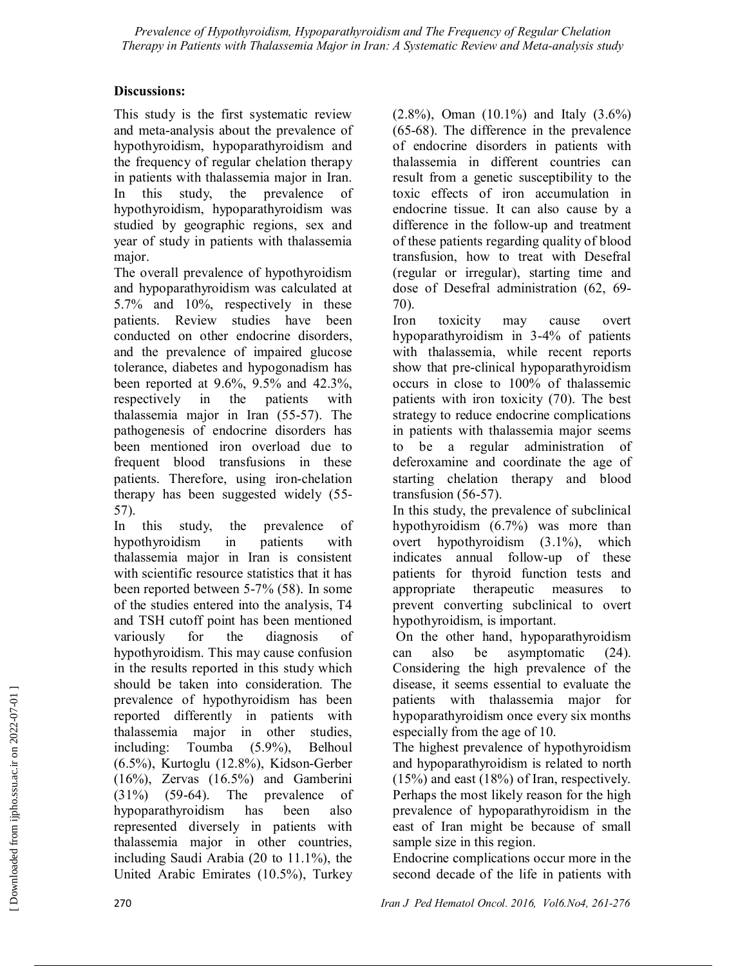#### **Discussions:**

This study is the first systematic review and meta-analysis about the prevalence of hypothyroidism, hypoparathyroidism and the frequency of regular chelation therapy in patients with thalassemia major in Iran. In this study, the prevalence of hypothyroidism, hypoparathyroidism was studied by geographic regions, sex and year of study in patients with thalassemia major.

The overall prevalence of hypothyroidism and hypoparathyroidism was calculated at 5.7% and 10%, respectively in these patients. Review studies have been conducted on other endocrine disorders, and the prevalence of impaired glucose tolerance, diabetes and hypogonadism has been reported at 9.6%, 9.5% and 42.3%, respectively in the patients with thalassemia major in Iran (55-57). The pathogenesis of endocrine disorders has been mentioned iron overload due to frequent blood transfusions in these patients. Therefore, using iron-chelation therapy has been suggested widely (55- 57).

In this study, the prevalence of hypothyroidism in patients with thalassemia major in Iran is consistent with scientific resource statistics that it has been reported between 5-7% (58). In some of the studies entered into the analysis, T4 and TSH cutoff point has been mentioned variously for the diagnosis of hypothyroidism. This may cause confusion in the results reported in this study which should be taken into consideration. The prevalence of hypothyroidism has been reported differently in patients with thalassemia major in other studies, including: Toumba (5.9%), Belhoul (6.5%), Kurtoglu (12.8%), Kidson-Gerber (16%), Zervas (16.5%) and Gamberini (31%) (59-64). The prevalence of hypoparathyroidism has been also represented diversely in patients with thalassemia major in other countries, including Saudi Arabia (20 to 11.1%), the United Arabic Emirates (10.5%), Turkey

(2.8%), Oman (10.1%) and Italy (3.6%) (65-68). The difference in the prevalence of endocrine disorders in patients with thalassemia in different countries can result from a genetic susceptibility to the toxic effects of iron accumulation in endocrine tissue. It can also cause by a difference in the follow-up and treatment of these patients regarding quality of blood transfusion, how to treat with Desefral (regular or irregular), starting time and dose of Desefral administration (62, 69- 70).

Iron toxicity may cause overt hypoparathyroidism in 3-4% of patients with thalassemia, while recent reports show that pre-clinical hypoparathyroidism occurs in close to 100% of thalassemic patients with iron toxicity (70). The best strategy to reduce endocrine complications in patients with thalassemia major seems to be a regular administration of deferoxamine and coordinate the age of starting chelation therapy and blood transfusion (56-57).

In this study, the prevalence of subclinical hypothyroidism (6.7%) was more than overt hypothyroidism (3.1%), which indicates annual follow-up of these patients for thyroid function tests and appropriate therapeutic measures to prevent converting subclinical to overt hypothyroidism, is important.

 On the other hand, hypoparathyroidism can also be asymptomatic (24). Considering the high prevalence of the disease, it seems essential to evaluate the patients with thalassemia major for hypoparathyroidism once every six months especially from the age of 10.

The highest prevalence of hypothyroidism and hypoparathyroidism is related to north (15%) and east (18%) of Iran, respectively. Perhaps the most likely reason for the high prevalence of hypoparathyroidism in the east of Iran might be because of small sample size in this region.

Endocrine complications occur more in the second decade of the life in patients with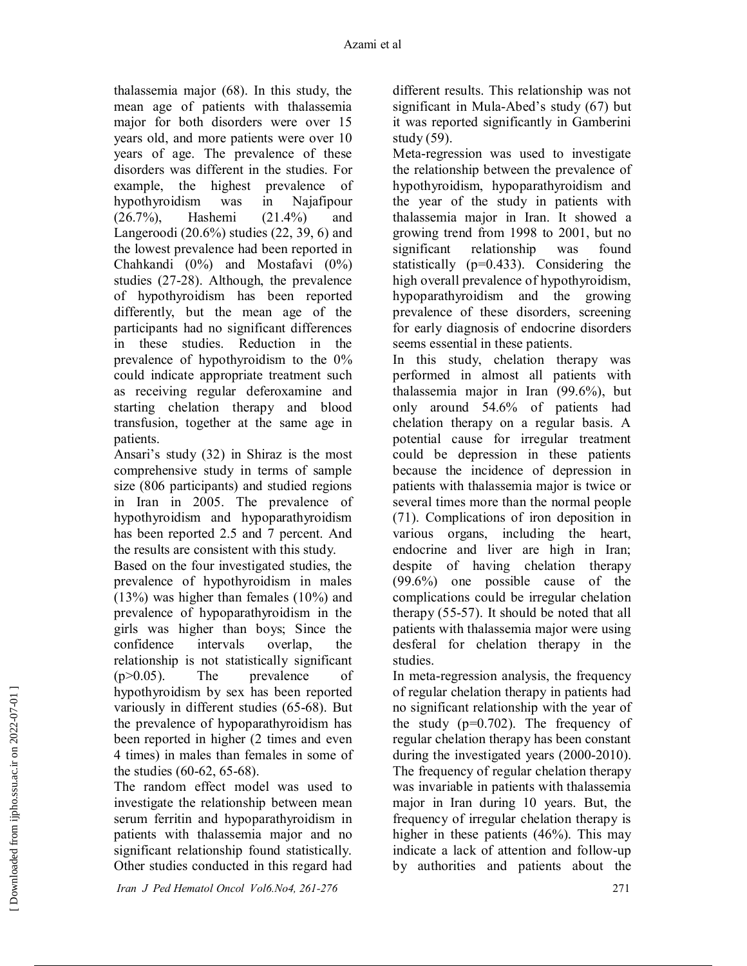thalassemia major (68). In this study, the mean age of patients with thalassemia major for both disorders were over 15 years old, and more patients were over 10 years of age. The prevalence of these disorders was different in the studies. For example, the highest prevalence of hypothyroidism was in Najafipour (26.7%), Hashemi (21.4%) and Langeroodi (20.6%) studies (22, 39, 6) and the lowest prevalence had been reported in Chahkandi (0%) and Mostafavi (0%) studies (27-28). Although, the prevalence of hypothyroidism has been reported differently, but the mean age of the participants had no significant differences in these studies. Reduction in the prevalence of hypothyroidism to the 0% could indicate appropriate treatment such as receiving regular deferoxamine and starting chelation therapy and blood transfusion, together at the same age in patients.

Ansari's study (32) in Shiraz is the most comprehensive study in terms of sample size (806 participants) and studied regions in Iran in 2005. The prevalence of hypothyroidism and hypoparathyroidism has been reported 2.5 and 7 percent. And the results are consistent with this study.

Based on the four investigated studies, the prevalence of hypothyroidism in males (13%) was higher than females (10%) and prevalence of hypoparathyroidism in the girls was higher than boys; Since the confidence intervals overlap, the relationship is not statistically significant  $(p>0.05)$ . The prevalence of hypothyroidism by sex has been reported variously in different studies (65-68). But the prevalence of hypoparathyroidism has been reported in higher (2 times and even 4 times) in males than females in some of the studies (60-62, 65-68).

The random effect model was used to investigate the relationship between mean serum ferritin and hypoparathyroidism in patients with thalassemia major and no significant relationship found statistically. Other studies conducted in this regard had

different results. This relationship was not significant in Mula-Abed's study (67) but it was reported significantly in Gamberini study (59).

Meta-regression was used to investigate the relationship between the prevalence of hypothyroidism, hypoparathyroidism and the year of the study in patients with thalassemia major in Iran. It showed a growing trend from 1998 to 2001, but no significant relationship was found statistically (p=0.433). Considering the high overall prevalence of hypothyroidism, hypoparathyroidism and the growing prevalence of these disorders, screening for early diagnosis of endocrine disorders seems essential in these patients.

In this study, chelation therapy was performed in almost all patients with thalassemia major in Iran (99.6%), but only around 54.6% of patients had chelation therapy on a regular basis. A potential cause for irregular treatment could be depression in these patients because the incidence of depression in patients with thalassemia major is twice or several times more than the normal people (71). Complications of iron deposition in various organs, including the heart, endocrine and liver are high in Iran; despite of having chelation therapy (99.6%) one possible cause of the complications could be irregular chelation therapy (55-57). It should be noted that all patients with thalassemia major were using desferal for chelation therapy in the studies.

In meta-regression analysis, the frequency of regular chelation therapy in patients had no significant relationship with the year of the study  $(p=0.702)$ . The frequency of regular chelation therapy has been constant during the investigated years (2000-2010). The frequency of regular chelation therapy was invariable in patients with thalassemia major in Iran during 10 years. But, the frequency of irregular chelation therapy is higher in these patients (46%). This may indicate a lack of attention and follow-up by authorities and patients about the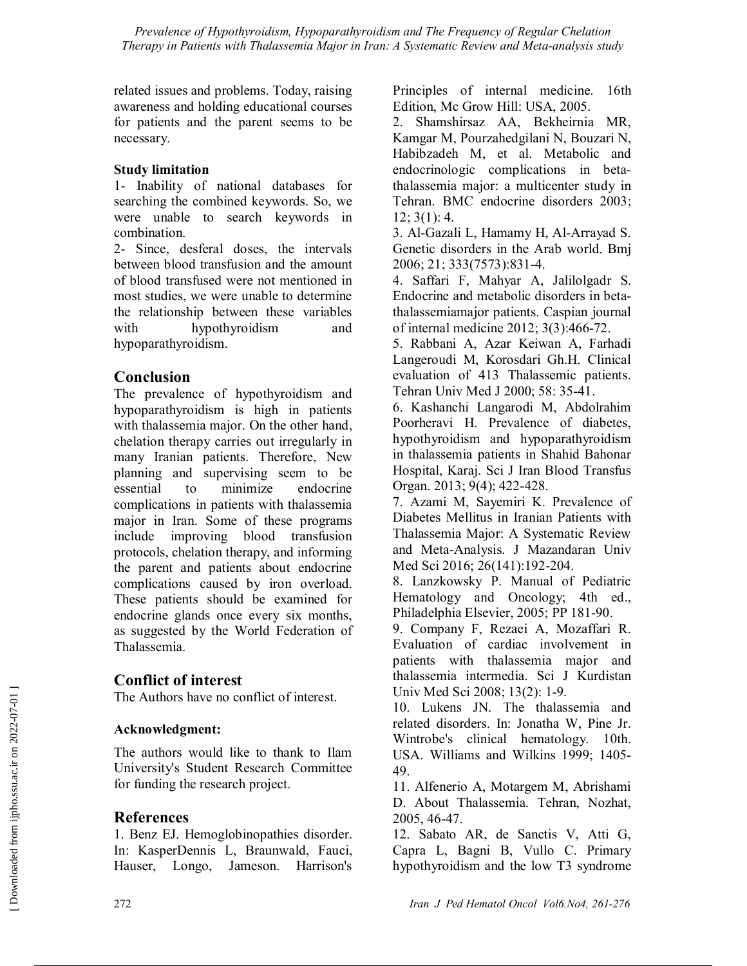related issues and problems. Today, raising awareness and holding educational courses for patients and the parent seems to be necessary.

#### **Study limitation**

1- Inability of national databases for searching the combined keywords. So, we were unable to search keywords in combination.

2- Since, desferal doses, the intervals between blood transfusion and the amount of blood transfused were not mentioned in most studies, we were unable to determine the relationship between these variables with hypothyroidism and hypoparathyroidism.

# **Conclusion**

The prevalence of hypothyroidism and hypoparathyroidism is high in patients with thalassemia major. On the other hand, chelation therapy carries out irregularly in many Iranian patients. Therefore, New planning and supervising seem to be essential to minimize endocrine complications in patients with thalassemia major in Iran. Some of these programs include improving blood transfusion protocols, chelation therapy, and informing the parent and patients about endocrine complications caused by iron overload. These patients should be examined for endocrine glands once every six months, as suggested by the World Federation of Thalassemia.

# **Conflict of interest**

The Authors have no conflict of interest.

# **Acknowledgment:**

The authors would like to thank to Ilam University's Student Research Committee for funding the research project.

# **References**

1. Benz EJ. Hemoglobinopathies disorder. In: KasperDennis L, Braunwald, Fauci, Hauser, Longo, Jameson. Harrison's Principles of internal medicine. 16th Edition, Mc Grow Hill: USA, 2005.

2. Shamshirsaz AA, Bekheirnia MR, Kamgar M, Pourzahedgilani N, Bouzari N, Habibzadeh M, et al. Metabolic and endocrinologic complications in betathalassemia major: a multicenter study in Tehran. BMC endocrine disorders 2003; 12; 3(1): 4.

3. Al-Gazali L, Hamamy H, Al-Arrayad S. Genetic disorders in the Arab world. Bmj 2006; 21; 333(7573):831-4.

4. Saffari F, Mahyar A, Jalilolgadr S. Endocrine and metabolic disorders in betathalassemiamajor patients. Caspian journal of internal medicine 2012; 3(3):466-72.

5. Rabbani A, Azar Keiwan A, Farhadi Langeroudi M, Korosdari Gh.H. Clinical evaluation of 413 Thalassemic patients. Tehran Univ Med J 2000; 58: 35-41.

6. Kashanchi Langarodi M, Abdolrahim Poorheravi H. Prevalence of diabetes, hypothyroidism and hypoparathyroidism in thalassemia patients in Shahid Bahonar Hospital, Karaj. Sci J Iran Blood Transfus Organ. 2013; 9(4); 422-428.

7. Azami M, Sayemiri K. Prevalence of Diabetes Mellitus in Iranian Patients with Thalassemia Major: A Systematic Review and Meta-Analysis. J Mazandaran Univ Med Sci 2016; 26(141):192-204.

8. Lanzkowsky P. Manual of Pediatric Hematology and Oncology; 4th ed., Philadelphia Elsevier, 2005; PP 181-90.

9. Company F, Rezaei A, Mozaffari R. Evaluation of cardiac involvement in patients with thalassemia major and thalassemia intermedia. Sci J Kurdistan Univ Med Sci 2008; 13(2): 1-9.

10. Lukens JN. The thalassemia and related disorders. In: Jonatha W, Pine Jr. Wintrobe's clinical hematology. 10th. USA. Williams and Wilkins 1999; 1405- 49.

11. Alfenerio A, Motargem M, Abrishami D. About Thalassemia. Tehran, Nozhat, 2005, 46-47.

12. Sabato AR, de Sanctis V, Atti G, Capra L, Bagni B, Vullo C. Primary hypothyroidism and the low T3 syndrome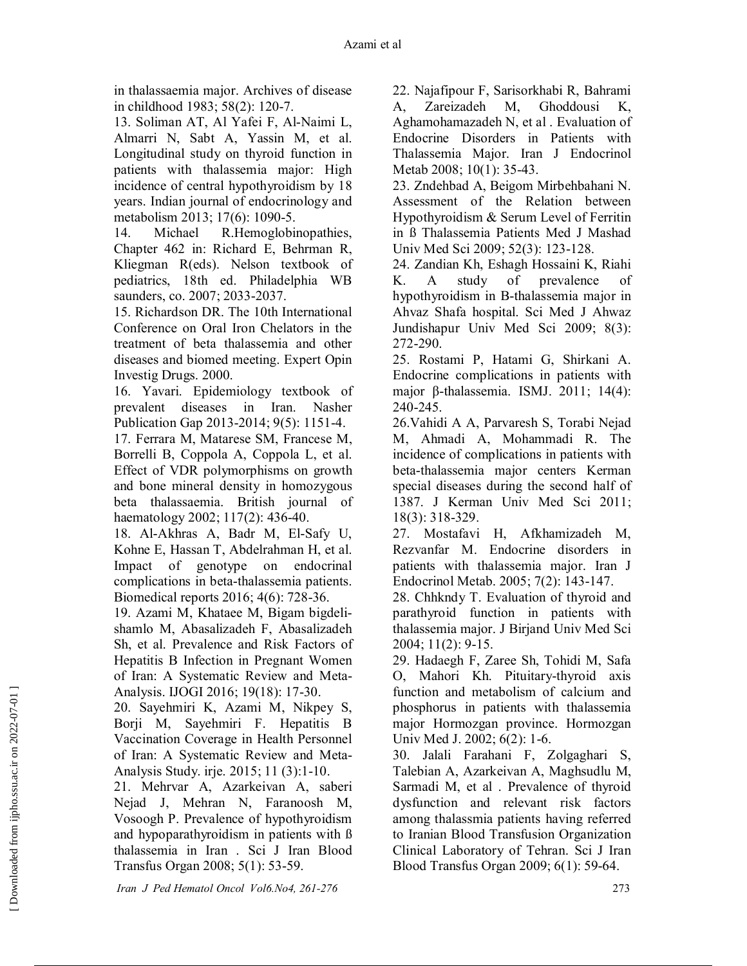in thalassaemia major. Archives of disease in childhood 1983; 58(2): 120-7.

13. Soliman AT, Al Yafei F, Al-Naimi L, Almarri N, Sabt A, Yassin M, et al. Longitudinal study on thyroid function in patients with thalassemia major: High incidence of central hypothyroidism by 18 years. Indian journal of endocrinology and metabolism 2013; 17(6): 1090-5.

14. Michael R.Hemoglobinopathies, Chapter 462 in: Richard E, Behrman R, Kliegman R(eds). Nelson textbook of pediatrics, 18th ed. Philadelphia WB saunders, co. 2007; 2033-2037.

15. Richardson DR. The 10th International Conference on Oral Iron Chelators in the treatment of beta thalassemia and other diseases and biomed meeting. Expert Opin Investig Drugs. 2000.

16. Yavari. Epidemiology textbook of prevalent diseases in Iran. Nasher Publication Gap 2013-2014; 9(5): 1151-4.

17. Ferrara M, Matarese SM, Francese M, Borrelli B, Coppola A, Coppola L, et al. Effect of VDR polymorphisms on growth and bone mineral density in homozygous beta thalassaemia. British journal of haematology 2002; 117(2): 436-40.

18. Al-Akhras A, Badr M, El-Safy U, Kohne E, Hassan T, Abdelrahman H, et al. Impact of genotype on endocrinal complications in beta-thalassemia patients. Biomedical reports 2016; 4(6): 728-36.

19. Azami M, Khataee M, Bigam bigdelishamlo M, Abasalizadeh F, Abasalizadeh Sh, et al. Prevalence and Risk Factors of Hepatitis B Infection in Pregnant Women of Iran: A Systematic Review and Meta-Analysis. IJOGI 2016; 19(18): 17-30.

20. Sayehmiri K, Azami M, Nikpey S, Borji M, Sayehmiri F. Hepatitis B Vaccination Coverage in Health Personnel of Iran: A Systematic Review and Meta-Analysis Study. irje. 2015; 11 (3):1-10.

21. Mehrvar A, Azarkeivan A, saberi Nejad J, Mehran N, Faranoosh M, Vosoogh P. Prevalence of hypothyroidism and hypoparathyroidism in patients with ß thalassemia in Iran . Sci J Iran Blood Transfus Organ 2008; 5(1): 53-59.

22. Najafipour F, Sarisorkhabi R, Bahrami A, Zareizadeh M, Ghoddousi K, Aghamohamazadeh N, et al . Evaluation of Endocrine Disorders in Patients with Thalassemia Major. Iran J Endocrinol Metab 2008; 10(1): 35-43.

23. Zndehbad A, Beigom Mirbehbahani N. Assessment of the Relation between Hypothyroidism & Serum Level of Ferritin in ß Thalassemia Patients Med J Mashad Univ Med Sci 2009; 52(3): 123-128.

24. Zandian Kh, Eshagh Hossaini K, Riahi K. A study of prevalence of hypothyroidism in B-thalassemia major in Ahvaz Shafa hospital. Sci Med J Ahwaz Jundishapur Univ Med Sci 2009; 8(3): 272-290.

25. Rostami P, Hatami G, Shirkani A. Endocrine complications in patients with major β-thalassemia. ISMJ. 2011; 14(4): 240-245.

26.Vahidi A A, Parvaresh S, Torabi Nejad M, Ahmadi A, Mohammadi R. The incidence of complications in patients with beta-thalassemia major centers Kerman special diseases during the second half of 1387. J Kerman Univ Med Sci 2011; 18(3): 318-329.

27. Mostafavi H, Afkhamizadeh M, Rezvanfar M. Endocrine disorders in patients with thalassemia major. Iran J Endocrinol Metab. 2005; 7(2): 143-147.

28. Chhkndy T. Evaluation of thyroid and parathyroid function in patients with thalassemia major. J Birjand Univ Med Sci 2004; 11(2): 9-15.

29. Hadaegh F, Zaree Sh, Tohidi M, Safa O, Mahori Kh. Pituitary-thyroid axis function and metabolism of calcium and phosphorus in patients with thalassemia major Hormozgan province. Hormozgan Univ Med J. 2002; 6(2): 1-6.

30. Jalali Farahani F, Zolgaghari S, Talebian A, Azarkeivan A, Maghsudlu M, Sarmadi M, et al . Prevalence of thyroid dysfunction and relevant risk factors among thalassmia patients having referred to Iranian Blood Transfusion Organization Clinical Laboratory of Tehran. Sci J Iran Blood Transfus Organ 2009; 6(1): 59-64.

 *Iran J Ped Hematol Oncol Vol6.No4, 261-276* 273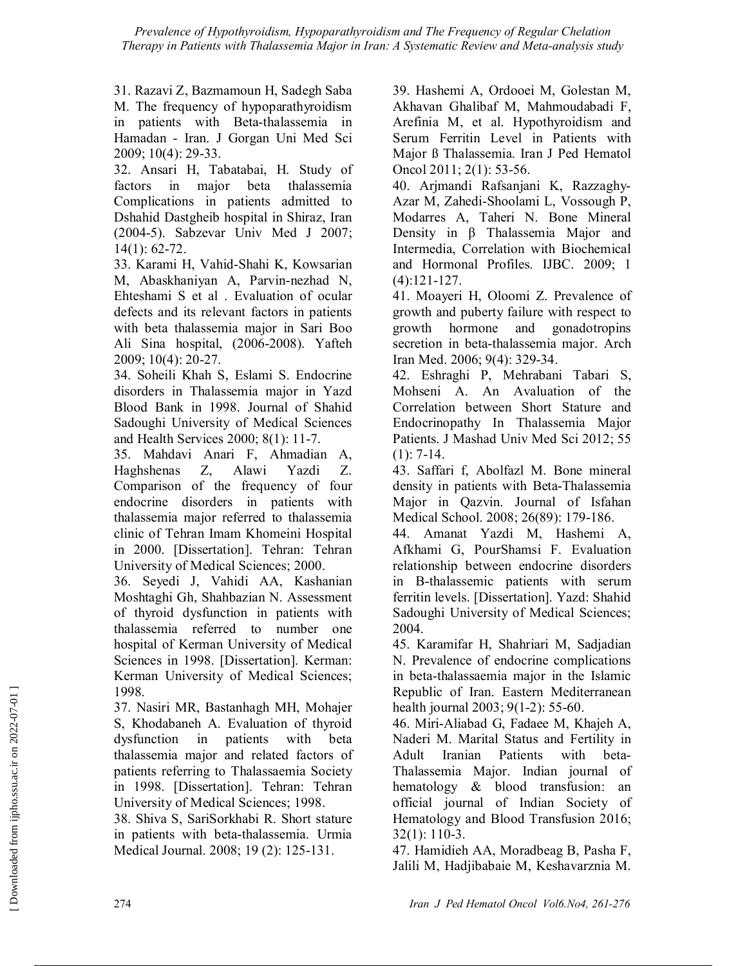31. Razavi Z, Bazmamoun H, Sadegh Saba M. The frequency of hypoparathyroidism in patients with Beta-thalassemia in Hamadan - Iran. J Gorgan Uni Med Sci 2009; 10(4): 29-33.

32. Ansari H, Tabatabai, H. Study of factors in major beta thalassemia Complications in patients admitted to Dshahid Dastgheib hospital in Shiraz, Iran (2004-5). Sabzevar Univ Med J 2007; 14(1): 62-72.

33. Karami H, Vahid-Shahi K, Kowsarian M, Abaskhaniyan A, Parvin-nezhad N, Ehteshami S et al . Evaluation of ocular defects and its relevant factors in patients with beta thalassemia major in Sari Boo Ali Sina hospital, (2006-2008). Yafteh 2009; 10(4): 20-27.

34. Soheili Khah S, Eslami S. Endocrine disorders in Thalassemia major in Yazd Blood Bank in 1998. Journal of Shahid Sadoughi University of Medical Sciences and Health Services 2000; 8(1): 11-7.

35. Mahdavi Anari F, Ahmadian A, Haghshenas Z, Alawi Yazdi Z. Comparison of the frequency of four endocrine disorders in patients with thalassemia major referred to thalassemia clinic of Tehran Imam Khomeini Hospital in 2000. [Dissertation]. Tehran: Tehran University of Medical Sciences; 2000.

36. Seyedi J, Vahidi AA, Kashanian Moshtaghi Gh, Shahbazian N. Assessment of thyroid dysfunction in patients with thalassemia referred to number one hospital of Kerman University of Medical Sciences in 1998. [Dissertation]. Kerman: Kerman University of Medical Sciences; 1998.

37. Nasiri MR, Bastanhagh MH, Mohajer S, Khodabaneh A. Evaluation of thyroid dysfunction in patients with beta thalassemia major and related factors of patients referring to Thalassaemia Society in 1998. [Dissertation]. Tehran: Tehran University of Medical Sciences; 1998.

38. Shiva S, SariSorkhabi R. Short stature in patients with beta-thalassemia. Urmia Medical Journal. 2008; 19 (2): 125-131.

39. Hashemi A, Ordooei M, Golestan M, Akhavan Ghalibaf M, Mahmoudabadi F, Arefinia M, et al. Hypothyroidism and Serum Ferritin Level in Patients with Major ß Thalassemia. Iran J Ped Hematol Oncol 2011; 2(1): 53-56.

40. Arjmandi Rafsanjani K, Razzaghy-Azar M, Zahedi-Shoolami L, Vossough P, Modarres A, Taheri N. Bone Mineral Density in β Thalassemia Major and Intermedia, Correlation with Biochemical and Hormonal Profiles. IJBC. 2009; 1 (4):121-127.

41. Moayeri H, Oloomi Z. Prevalence of growth and puberty failure with respect to growth hormone and gonadotropins secretion in beta-thalassemia major. Arch Iran Med. 2006; 9(4): 329-34.

42. Eshraghi P, Mehrabani Tabari S, Mohseni A. An Avaluation of the Correlation between Short Stature and Endocrinopathy In Thalassemia Major Patients. J Mashad Univ Med Sci 2012; 55  $(1): 7-14.$ 

43. Saffari f, Abolfazl M. Bone mineral density in patients with Beta-Thalassemia Major in Qazvin. Journal of Isfahan Medical School. 2008; 26(89): 179-186.

44. Amanat Yazdi M, Hashemi A, Afkhami G, PourShamsi F. Evaluation relationship between endocrine disorders in B-thalassemic patients with serum ferritin levels. [Dissertation]. Yazd: Shahid Sadoughi University of Medical Sciences; 2004.

45. Karamifar H, Shahriari M, Sadjadian N. Prevalence of endocrine complications in beta-thalassaemia major in the Islamic Republic of Iran. Eastern Mediterranean health journal 2003; 9(1-2): 55-60.

46. Miri-Aliabad G, Fadaee M, Khajeh A, Naderi M. Marital Status and Fertility in Adult Iranian Patients with beta-Thalassemia Major. Indian journal of hematology & blood transfusion: an official journal of Indian Society of Hematology and Blood Transfusion 2016; 32(1): 110-3.

47. Hamidieh AA, Moradbeag B, Pasha F, Jalili M, Hadjibabaie M, Keshavarznia M.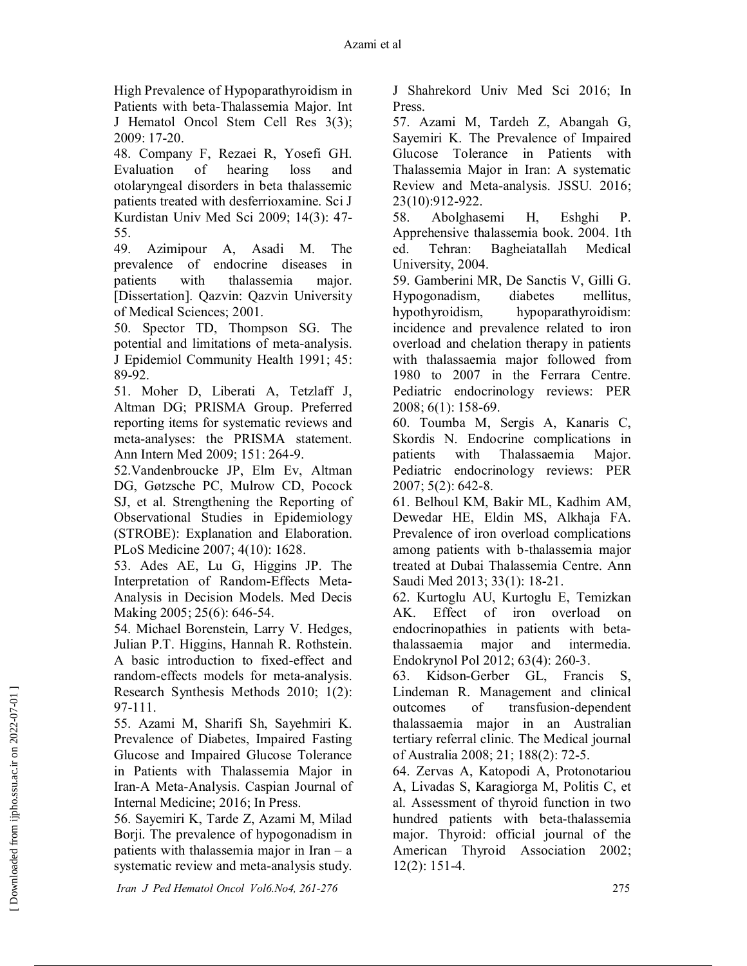High Prevalence of Hypoparathyroidism in Patients with beta-Thalassemia Major. Int J Hematol Oncol Stem Cell Res 3(3); 2009: 17-20.

48. Company F, Rezaei R, Yosefi GH. Evaluation of hearing loss and otolaryngeal disorders in beta thalassemic patients treated with desferrioxamine. Sci J Kurdistan Univ Med Sci 2009; 14(3): 47- 55.

49. Azimipour A, Asadi M. The prevalence of endocrine diseases in patients with thalassemia major. [Dissertation]. Qazvin: Qazvin University of Medical Sciences; 2001.

50. Spector TD, Thompson SG. The potential and limitations of meta-analysis. J Epidemiol Community Health 1991; 45: 89-92.

51. Moher D, Liberati A, Tetzlaff J, Altman DG; PRISMA Group. Preferred reporting items for systematic reviews and meta-analyses: the PRISMA statement. Ann Intern Med 2009; 151: 264-9.

52.Vandenbroucke JP, Elm Ev, Altman DG, Gøtzsche PC, Mulrow CD, Pocock SJ, et al. Strengthening the Reporting of Observational Studies in Epidemiology (STROBE): Explanation and Elaboration. PLoS Medicine 2007; 4(10): 1628.

53. Ades AE, Lu G, Higgins JP. The Interpretation of Random-Effects Meta-Analysis in Decision Models. Med Decis Making 2005; 25(6): 646-54.

54. Michael Borenstein, Larry V. Hedges, Julian P.T. Higgins, Hannah R. Rothstein. A basic introduction to fixed-effect and random-effects models for meta-analysis. Research Synthesis Methods 2010; 1(2): 97-111.

55. Azami M, Sharifi Sh, Sayehmiri K. Prevalence of Diabetes, Impaired Fasting Glucose and Impaired Glucose Tolerance in Patients with Thalassemia Major in Iran-A Meta-Analysis. Caspian Journal of Internal Medicine; 2016; In Press.

56. Sayemiri K, Tarde Z, Azami M, Milad Borji. The prevalence of hypogonadism in patients with thalassemia major in Iran – a systematic review and meta-analysis study. J Shahrekord Univ Med Sci 2016; In Press.

57. Azami M, Tardeh Z, Abangah G, Sayemiri K. The Prevalence of Impaired Glucose Tolerance in Patients with Thalassemia Major in Iran: A systematic Review and Meta-analysis. JSSU. 2016; 23(10):912-922.

58. Abolghasemi H, Eshghi P. Apprehensive thalassemia book. 2004. 1th ed. Tehran: Bagheiatallah Medical University, 2004.

59. Gamberini MR, De Sanctis V, Gilli G. Hypogonadism, diabetes mellitus, hypothyroidism, hypoparathyroidism: incidence and prevalence related to iron overload and chelation therapy in patients with thalassaemia major followed from 1980 to 2007 in the Ferrara Centre. Pediatric endocrinology reviews: PER 2008; 6(1): 158-69.

60. Toumba M, Sergis A, Kanaris C, Skordis N. Endocrine complications in patients with Thalassaemia Major. Pediatric endocrinology reviews: PER 2007; 5(2): 642-8.

61. Belhoul KM, Bakir ML, Kadhim AM, Dewedar HE, Eldin MS, Alkhaja FA. Prevalence of iron overload complications among patients with b-thalassemia major treated at Dubai Thalassemia Centre. Ann Saudi Med 2013; 33(1): 18-21.

62. Kurtoglu AU, Kurtoglu E, Temizkan AK. Effect of iron overload on endocrinopathies in patients with betathalassaemia major and intermedia. Endokrynol Pol 2012; 63(4): 260-3.

63. Kidson-Gerber GL, Francis S, Lindeman R. Management and clinical outcomes of transfusion-dependent thalassaemia major in an Australian tertiary referral clinic. The Medical journal of Australia 2008; 21; 188(2): 72-5.

64. Zervas A, Katopodi A, Protonotariou A, Livadas S, Karagiorga M, Politis C, et al. Assessment of thyroid function in two hundred patients with beta-thalassemia major. Thyroid: official journal of the American Thyroid Association 2002; 12(2): 151-4.

 *Iran J Ped Hematol Oncol Vol6.No4, 261-276* 275